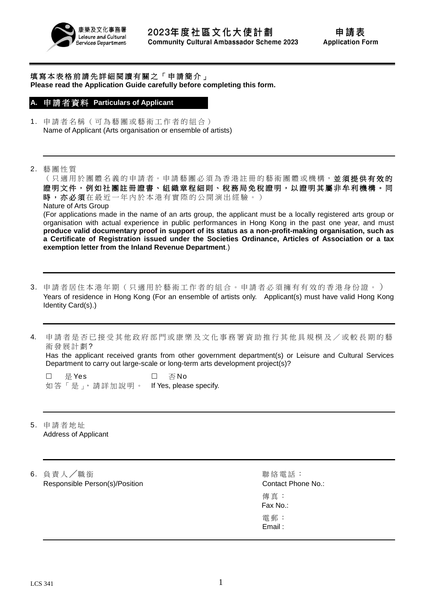

填寫本表格前請先詳細閱讀有關之「申請簡介」 **Please read the Application Guide carefully before completing this form.**

#### **A.** 申 請 者 資 料 **Particulars of Applicant**

- 1. 申請者名稱(可為藝團或藝術工作者的組合) Name of Applicant (Arts organisation or ensemble of artists)
- 2. 藝團性質

(只適用於團體名義的申請者。申請藝團必須為香港註冊的藝術團體或機構,並須提供有效的 證明文件,例如社團註冊證書、組織章程細則、稅務局免稅證明,以證明其屬非牟利機構。同 時,亦必須在最近一年內於本港有實際的公開演出經驗。) Nature of Arts Group (For applications made in the name of an arts group, the applicant must be a locally registered arts group or organisation with actual experience in public performances in Hong Kong in the past one year, and must **produce valid documentary proof in support of its status as a non-profit-making organisation, such as a Certificate of Registration issued under the Societies Ordinance, Articles of Association or a tax exemption letter from the Inland Revenue Department**.)

- 3. 申請者居住本港年期 ( 只適用於 藝術工作者 的組合 。申請者必須擁有有效的香港身份證。 ) Years of residence in Hong Kong (For an ensemble of artists only. Applicant(s) must have valid Hong Kong Identity Card(s).)
- 4. 申請者是否已接受其他政府部門或康樂及文化事務署資助推行其他具規模及/或較長期的藝 術發展計劃?

Has the applicant received grants from other government department(s) or Leisure and Cultural Services Department to carry out large-scale or long-term arts development project(s)?

□ 是 Yes □ 否 No 如答「是」,請詳加說明。 If Yes, please specify.

- 5. 申請者地址 Address of Applicant
- **6** 負 責 人 / 職 銜 ネント インクリット インター インター インター のうちゃく 聯絡 電話: Responsible Person(s)/Position Contact Phone No.:

傳真: Fax No.: 電郵: Email :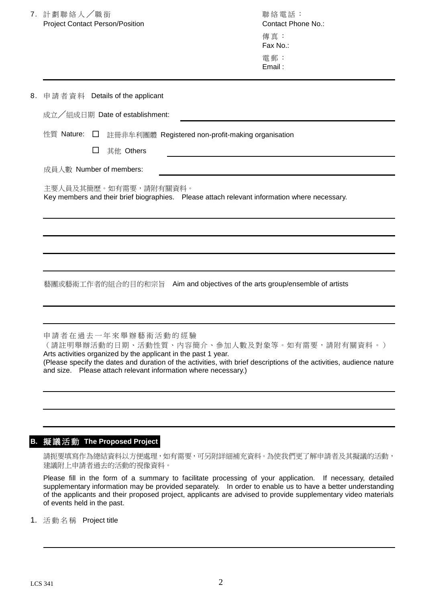|                         | 7. 計劃聯絡人/職銜<br><b>Project Contact Person/Position</b>                                                                  |        |                                                                                      |                                                                | 聯絡電話:<br>Contact Phone No.:<br>傳真:<br>Fax No.:<br>電郵:<br>Email:                                                                                                      |
|-------------------------|------------------------------------------------------------------------------------------------------------------------|--------|--------------------------------------------------------------------------------------|----------------------------------------------------------------|----------------------------------------------------------------------------------------------------------------------------------------------------------------------|
| 8.                      |                                                                                                                        |        | 申請者資料 Details of the applicant                                                       |                                                                |                                                                                                                                                                      |
|                         |                                                                                                                        |        | 成立/組成日期 Date of establishment:                                                       |                                                                |                                                                                                                                                                      |
|                         | 性質 Nature:                                                                                                             | ⊔      |                                                                                      | 註冊非牟利團體 Registered non-profit-making organisation              |                                                                                                                                                                      |
|                         |                                                                                                                        | $\Box$ | 其他 Others                                                                            |                                                                |                                                                                                                                                                      |
| 成員人數 Number of members: |                                                                                                                        |        |                                                                                      |                                                                |                                                                                                                                                                      |
|                         | 主要人員及其簡歷。如有需要,請附有關資料。<br>Key members and their brief biographies.  Please attach relevant information where necessary. |        |                                                                                      |                                                                |                                                                                                                                                                      |
|                         |                                                                                                                        |        |                                                                                      |                                                                |                                                                                                                                                                      |
|                         |                                                                                                                        |        |                                                                                      |                                                                |                                                                                                                                                                      |
|                         |                                                                                                                        |        |                                                                                      |                                                                |                                                                                                                                                                      |
|                         |                                                                                                                        |        |                                                                                      |                                                                | 藝團或藝術工作者的組合的目的和宗旨 Aim and objectives of the arts group/ensemble of artists                                                                                           |
|                         |                                                                                                                        |        |                                                                                      |                                                                |                                                                                                                                                                      |
|                         |                                                                                                                        |        | 申請者在過去一年來舉辦藝術活動的經驗<br>Arts activities organized by the applicant in the past 1 year. | and size. Please attach relevant information where necessary.) | (請註明舉辦活動的日期、活動性質、內容簡介、參加人數及對象等。如有需要,請附有關資料。)<br>(Please specify the dates and duration of the activities, with brief descriptions of the activities, audience nature |
|                         |                                                                                                                        |        |                                                                                      |                                                                |                                                                                                                                                                      |

# **B.** 擬 議 活 動 **The Proposed Project**

請扼要填寫作為總結資料以方便處理,如有需要,可另附詳細補充資料。為使我們更了解申請者及其擬議的活動, 建議附上申請者過去的活動的視像資料。

Please fill in the form of a summary to facilitate processing of your application. If necessary, detailed supplementary information may be provided separately. In order to enable us to have a better understanding of the applicants and their proposed project, applicants are advised to provide supplementary video materials of events held in the past.

1. 活動名稱 Project title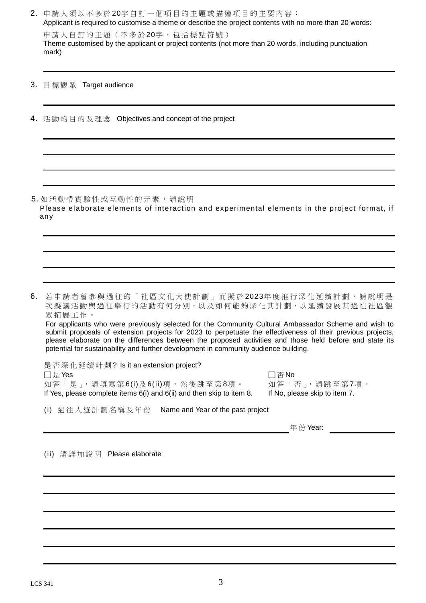|    | 2. 申請人須以不多於20字自訂一個項目的主題或描繪項目的主要內容:<br>Applicant is required to customise a theme or describe the project contents with no more than 20 words:<br>申請人自訂的主題(不多於20字,包括標點符號)<br>Theme customised by the applicant or project contents (not more than 20 words, including punctuation<br>mark)                                                                                                                                                                                                                                        |
|----|----------------------------------------------------------------------------------------------------------------------------------------------------------------------------------------------------------------------------------------------------------------------------------------------------------------------------------------------------------------------------------------------------------------------------------------------------------------------------------------------------------------------------------|
| 3. | 目標觀眾 Target audience                                                                                                                                                                                                                                                                                                                                                                                                                                                                                                             |
|    | 4. 活動的目的及理念 Objectives and concept of the project                                                                                                                                                                                                                                                                                                                                                                                                                                                                                |
|    |                                                                                                                                                                                                                                                                                                                                                                                                                                                                                                                                  |
|    | 5. 如活動帶實驗性或互動性的元素,請說明<br>Please elaborate elements of interaction and experimental elements in the project format, if<br>any                                                                                                                                                                                                                                                                                                                                                                                                     |
|    |                                                                                                                                                                                                                                                                                                                                                                                                                                                                                                                                  |
|    | 6. 若申請者曾參與過往的「社區文化大使計劃」而擬於2023年度推行深化延續計劃,請說明是<br>次擬議活動與過往舉行的活動有何分別, 以及如何能夠深化其計劃, 以延續發展其過往社區觀<br>眾拓展工作。<br>For applicants who were previously selected for the Community Cultural Ambassador Scheme and wish to<br>submit proposals of extension projects for 2023 to perpetuate the effectiveness of their previous projects,<br>please elaborate on the differences between the proposed activities and those held before and state its<br>potential for sustainability and further development in community audience building. |
|    | 是否深化延續計劃? Is it an extension project?<br>□是 Yes<br>$\square$ $\overline{\triangle}$ No<br>如答「是」,請填寫第6(i)及6(ii)項,然後跳至第8項。<br>如答「否」,請跳至第7項。<br>If Yes, please complete items 6(i) and 6(ii) and then skip to item 8.<br>If No, please skip to item 7.                                                                                                                                                                                                                                                                              |
|    | Name and Year of the past project<br>(i) 過往入選計劃名稱及年份                                                                                                                                                                                                                                                                                                                                                                                                                                                                             |
|    | 年份 Year:                                                                                                                                                                                                                                                                                                                                                                                                                                                                                                                         |
|    | (ii) 請詳加說明 Please elaborate                                                                                                                                                                                                                                                                                                                                                                                                                                                                                                      |
|    |                                                                                                                                                                                                                                                                                                                                                                                                                                                                                                                                  |
|    |                                                                                                                                                                                                                                                                                                                                                                                                                                                                                                                                  |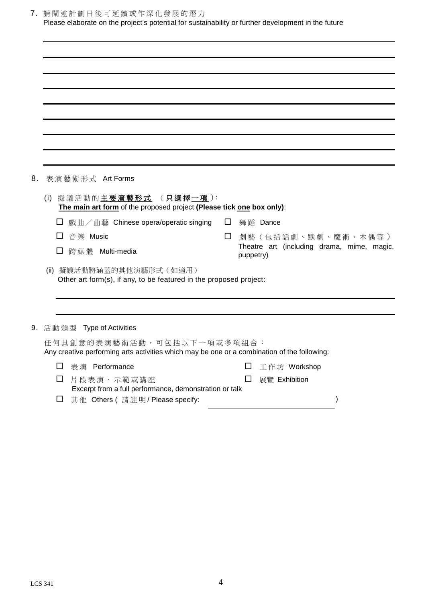|    | 7. 請闡述計劃日後可延續或作深化發展的潛力<br>Please elaborate on the project's potential for sustainability or further development in the future |                                                         |  |  |  |  |
|----|-------------------------------------------------------------------------------------------------------------------------------|---------------------------------------------------------|--|--|--|--|
|    |                                                                                                                               |                                                         |  |  |  |  |
|    |                                                                                                                               |                                                         |  |  |  |  |
|    |                                                                                                                               |                                                         |  |  |  |  |
|    |                                                                                                                               |                                                         |  |  |  |  |
|    |                                                                                                                               |                                                         |  |  |  |  |
|    |                                                                                                                               |                                                         |  |  |  |  |
|    |                                                                                                                               |                                                         |  |  |  |  |
|    |                                                                                                                               |                                                         |  |  |  |  |
|    |                                                                                                                               |                                                         |  |  |  |  |
| 8. | 表演藝術形式 Art Forms                                                                                                              |                                                         |  |  |  |  |
|    | (i) 擬議活動的主要演藝形式 (只選擇一項):<br>The main art form of the proposed project (Please tick one box only):                             |                                                         |  |  |  |  |
|    | 戲曲/曲藝 Chinese opera/operatic singing<br>$\Box$                                                                                | 舞蹈 Dance                                                |  |  |  |  |
|    | 音樂 Music<br>ப<br>$\Box$                                                                                                       | 劇藝(包括話劇、默劇、魔術、木偶等)                                      |  |  |  |  |
|    | 跨媒體 Multi-media                                                                                                               | Theatre art (including drama, mime, magic,<br>puppetry) |  |  |  |  |
|    | 擬議活動將涵蓋的其他演藝形式(如適用)<br>(ii)<br>Other art form(s), if any, to be featured in the proposed project:                             |                                                         |  |  |  |  |
|    |                                                                                                                               |                                                         |  |  |  |  |
|    |                                                                                                                               |                                                         |  |  |  |  |
|    | 9. 活動類型 Type of Activities                                                                                                    |                                                         |  |  |  |  |
|    | 任何具創意的表演藝術活動,可包括以下一項或多項組合:<br>Any creative performing arts activities which may be one or a combination of the following:     |                                                         |  |  |  |  |
|    | 表演 Performance<br>⊔                                                                                                           | □<br>工作坊 Workshop                                       |  |  |  |  |
|    | $\Box$<br>片段表演、示範或講座<br>Excerpt from a full performance, demonstration or talk                                                | $\Box$<br>展覽 Exhibition                                 |  |  |  |  |

其 他 Others ( 請註明 / Please specify: )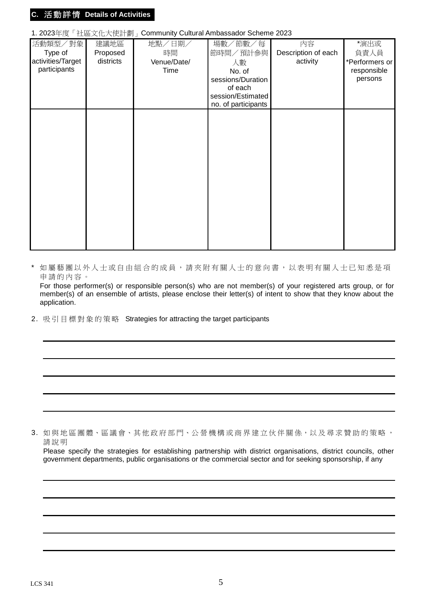## **C.** 活 動 詳 情 **Details of Activities**

### 1. 2023年度「社區文化大使計劃」Community Cultural Ambassador Scheme 2023

| 活動類型/對象<br>Type of<br>activities/Target<br>participants | 建議地區<br>Proposed<br>districts | 地點/日期/<br>時間<br>Venue/Date/<br>Time | 場數/節數/每<br>節時間/預計參與<br>人數<br>No. of<br>sessions/Duration<br>of each<br>session/Estimated | 内容<br>Description of each<br>activity | *演出或<br>負責人員<br>*Performers or<br>responsible<br>persons |
|---------------------------------------------------------|-------------------------------|-------------------------------------|------------------------------------------------------------------------------------------|---------------------------------------|----------------------------------------------------------|
|                                                         |                               |                                     | no. of participants                                                                      |                                       |                                                          |

\* 如屬藝團以外人士或自由組合的成員,請夾附有關人士的意向書,以表明有關人士已知悉是項 申 請的內容。

For those performer(s) or responsible person(s) who are not member(s) of your registered arts group, or for member(s) of an ensemble of artists, please enclose their letter(s) of intent to show that they know about the application.

2. 吸引目標對象的策略 Strategies for attracting the target participants

3. 如與地區團體、區議會、其他政府部門、公營機構或商界建立伙伴關係,以及尋求贊助的策略, 請說明

Please specify the strategies for establishing partnership with district organisations, district councils, other government departments, public organisations or the commercial sector and for seeking sponsorship, if any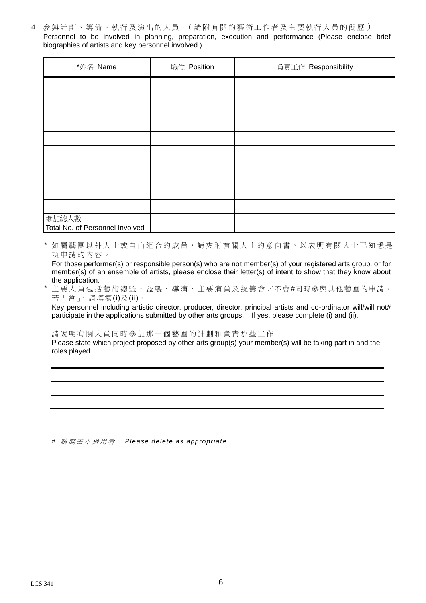4. 參與計劃、籌備、執行及演出的人員 (請附有關的藝術工作者及主要執行人員的簡歷) Personnel to be involved in planning, preparation, execution and performance (Please enclose brief biographies of artists and key personnel involved.)

| *姓名 Name                                 | 職位 Position | 負責工作 Responsibility |
|------------------------------------------|-------------|---------------------|
|                                          |             |                     |
|                                          |             |                     |
|                                          |             |                     |
|                                          |             |                     |
|                                          |             |                     |
|                                          |             |                     |
|                                          |             |                     |
|                                          |             |                     |
|                                          |             |                     |
|                                          |             |                     |
| 參加總人數<br>Total No. of Personnel Involved |             |                     |

如屬藝團以外人士或自由組合的成員,請夾附有關人士的意向書,以表明有關人士已知悉是 項 申 請的內容。

For those performer(s) or responsible person(s) who are not member(s) of your registered arts group, or for member(s) of an ensemble of artists, please enclose their letter(s) of intent to show that they know about the application.

主要人員包括藝術總監、監製、導演、主要演員及統籌會 / 不會#同時參與其他藝團的申請。 若「會」,請填寫(i)及(ii)。

Key personnel including artistic director, producer, director, principal artists and co-ordinator will/will not# participate in the applications submitted by other arts groups. If yes, please complete (i) and (ii).

請說明有關人員同時參加那一個藝團的計劃和負責那些工作

Please state which project proposed by other arts group(s) your member(s) will be taking part in and the roles played.

*#* 請 删 去 不 適 用 者 *Please delete as appropriate*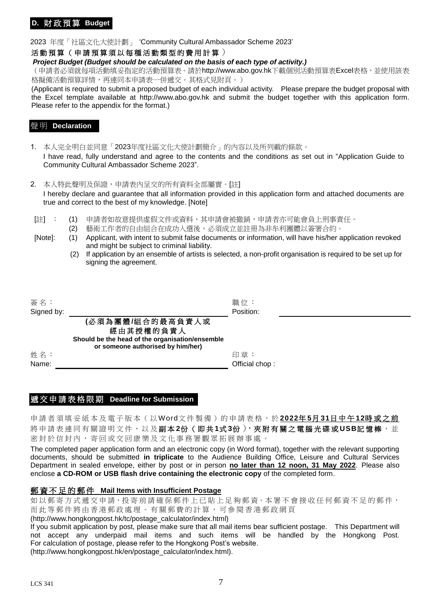# **D.** 財 政 預 算 **Budget**

#### 2023 年度「社區文化大使計劃」 'Community Cultural Ambassador Scheme 2023'

#### 活動預算(申請預算須以每種活動類型的費用計算)

#### *Project Budget (Budget should be calculated on the basis of each type of activity.)*

(申請者必須就每項活動填妥指定的活動預算表。請於http://www.abo.gov.hk下載個別活動預算表Excel表格,並使用該表 格擬備活動預算詳情,再連同本申請表一併遞交。其格式見附頁。)

(Applicant is required to submit a proposed budget of each individual activity. Please prepare the budget proposal with the Excel template available at http://www.abo.gov.hk and submit the budget together with this application form. Please refer to the appendix for the format.)

### 聲 明 **Declaration**

1. 本人完全明白並同意「2023年度社區文化大使計劃簡介」的內容以及所列載的條款。 I have read, fully understand and agree to the contents and the conditions as set out in "Application Guide to Community Cultural Ambassador Scheme 2023".

- 2. 本人特此聲明及保證,申請表內呈交的所有資料全部屬實。[註] I hereby declare and guarantee that all information provided in this application form and attached documents are true and correct to the best of my knowledge. [Note]
- [註] : (1) 申請者如故意提供虛假文件或資料,其申請會被撤銷,申請者亦可能會負上刑事責任。
	- (2) 藝術工作者的自由組合在成功入選後,必須成立並註冊為非牟利團體以簽署合約。

- [Note]: (1) Applicant, with intent to submit false documents or information, will have his/her application revoked and might be subject to criminal liability.
	- (2) If application by an ensemble of artists is selected, a non-profit organisation is required to be set up for signing the agreement.

| 簽名:        |                                                                                  | 職位:            |  |
|------------|----------------------------------------------------------------------------------|----------------|--|
| Signed by: |                                                                                  | Position:      |  |
|            | (必須為團體/組合的最高負責人或<br>經由其授權的負責人<br>Should be the head of the organisation/ensemble |                |  |
|            | or someone authorised by him/her)                                                |                |  |
| 姓名:        |                                                                                  | 印章:            |  |
| Name:      |                                                                                  | Official chop: |  |

### 遞 交 申 請 表 格 限 期 **Deadline for Submission**

申請者須填妥紙本及電子版本(以Word文件製備)的申請表格,於2022年5月31日中午12時或之前 將申請表連同有關證明文件,以及副本2份(即共1式3份),夾附有關之電腦光碟或USB記憶棒,並 密封於信封內 , 寄回或 交回康樂及文化事務署觀眾拓展辦事處。

The completed paper application form and an electronic copy (in Word format), together with the relevant supporting documents, should be submitted **in triplicate** to the Audience Building Office, Leisure and Cultural Services Department in sealed envelope, either by post or in person **no later than 12 noon, 31 May 2022**. Please also enclose **a CD-ROM or USB flash drive containing the electronic copy** of the completed form.

### 郵 資 不 足 的 郵 件 **Mail Items with Insufficient Postage**

如以郵寄方式遞交申請,投寄前請確保郵件上已貼上足夠郵資。本署不會接收任何郵資不足的郵件, 而此等郵件將由香港郵政處理。有關郵費的計算,可參閱香港郵政網頁

(http://www.hongkongpost.hk/tc/postage\_calculator/index.html)

If you submit application by post, please make sure that all mail items bear sufficient postage. This Department will not accept any underpaid mail items and such items will be handled by the Hongkong Post. For calculation of postage, please refer to the Hongkong Post's website. (http://www.hongkongpost.hk/en/postage\_calculator/index.html).